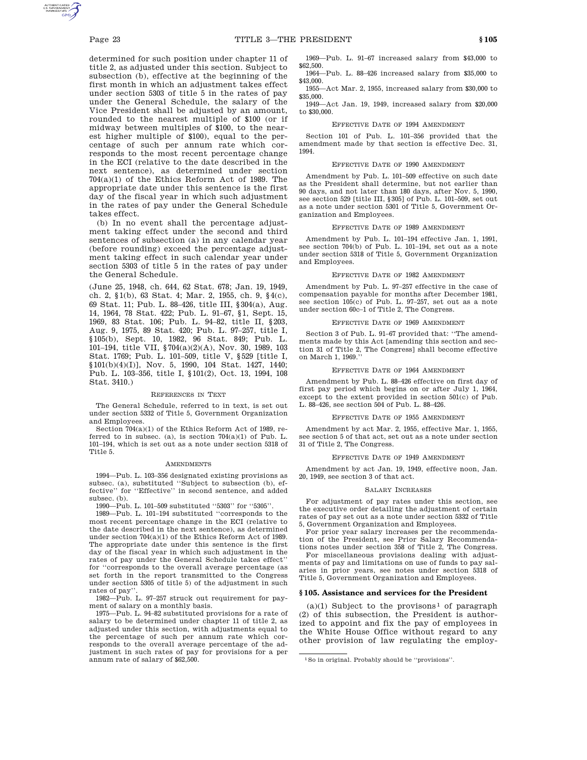determined for such position under chapter 11 of title 2, as adjusted under this section. Subject to subsection (b), effective at the beginning of the first month in which an adjustment takes effect under section 5303 of title 5 in the rates of pay under the General Schedule, the salary of the Vice President shall be adjusted by an amount, rounded to the nearest multiple of \$100 (or if midway between multiples of \$100, to the nearest higher multiple of \$100), equal to the percentage of such per annum rate which corresponds to the most recent percentage change in the ECI (relative to the date described in the next sentence), as determined under section 704(a)(1) of the Ethics Reform Act of 1989. The appropriate date under this sentence is the first day of the fiscal year in which such adjustment in the rates of pay under the General Schedule takes effect.

(b) In no event shall the percentage adjustment taking effect under the second and third sentences of subsection (a) in any calendar year (before rounding) exceed the percentage adjustment taking effect in such calendar year under section 5303 of title 5 in the rates of pay under the General Schedule.

(June 25, 1948, ch. 644, 62 Stat. 678; Jan. 19, 1949, ch. 2, §1(b), 63 Stat. 4; Mar. 2, 1955, ch. 9, §4(c), 69 Stat. 11; Pub. L. 88–426, title III, §304(a), Aug. 14, 1964, 78 Stat. 422; Pub. L. 91–67, §1, Sept. 15, 1969, 83 Stat. 106; Pub. L. 94–82, title II, §203, Aug. 9, 1975, 89 Stat. 420; Pub. L. 97–257, title I, §105(b), Sept. 10, 1982, 96 Stat. 849; Pub. L. 101–194, title VII, §704(a)(2)(A), Nov. 30, 1989, 103 Stat. 1769; Pub. L. 101–509, title V, §529 [title I, §101(b)(4)(I)], Nov. 5, 1990, 104 Stat. 1427, 1440; Pub. L. 103–356, title I, §101(2), Oct. 13, 1994, 108 Stat. 3410.)

### REFERENCES IN TEXT

The General Schedule, referred to in text, is set out under section 5332 of Title 5, Government Organization and Employees.

Section 704(a)(1) of the Ethics Reform Act of 1989, referred to in subsec. (a), is section 704(a)(1) of Pub. L. 101–194, which is set out as a note under section 5318 of Title 5.

## **AMENDMENTS**

1994—Pub. L. 103–356 designated existing provisions as subsec. (a), substituted ''Subject to subsection (b), effective'' for ''Effective'' in second sentence, and added subsec. (b).

1990—Pub. L. 101–509 substituted ''5303'' for ''5305''.

1989—Pub. L. 101–194 substituted ''corresponds to the most recent percentage change in the ECI (relative to the date described in the next sentence), as determined under section 704(a)(1) of the Ethics Reform Act of 1989. The appropriate date under this sentence is the first day of the fiscal year in which such adjustment in the rates of pay under the General Schedule takes effect'' for ''corresponds to the overall average percentage (as set forth in the report transmitted to the Congress under section 5305 of title 5) of the adjustment in such rates of pay''.

1982—Pub. L. 97–257 struck out requirement for payment of salary on a monthly basis.

1975—Pub. L. 94–82 substituted provisions for a rate of salary to be determined under chapter 11 of title 2, as adjusted under this section, with adjustments equal to the percentage of such per annum rate which corresponds to the overall average percentage of the adjustment in such rates of pay for provisions for a per annum rate of salary of \$62,500.

1969—Pub. L. 91–67 increased salary from \$43,000 to \$62,500.

1964—Pub. L. 88–426 increased salary from \$35,000 to \$43,000.

1955—Act Mar. 2, 1955, increased salary from \$30,000 to \$35,000.

1949—Act Jan. 19, 1949, increased salary from \$20,000 to \$30,000.

### EFFECTIVE DATE OF 1994 AMENDMENT

Section 101 of Pub. L. 101–356 provided that the amendment made by that section is effective Dec. 31, 1994.

## EFFECTIVE DATE OF 1990 AMENDMENT

Amendment by Pub. L. 101–509 effective on such date as the President shall determine, but not earlier than 90 days, and not later than 180 days, after Nov. 5, 1990, see section 529 [title III, §305] of Pub. L. 101–509, set out as a note under section 5301 of Title 5, Government Organization and Employees.

## EFFECTIVE DATE OF 1989 AMENDMENT

Amendment by Pub. L. 101–194 effective Jan. 1, 1991, see section 704(b) of Pub. L. 101–194, set out as a note under section 5318 of Title 5, Government Organization and Employees.

### EFFECTIVE DATE OF 1982 AMENDMENT

Amendment by Pub. L. 97–257 effective in the case of compensation payable for months after December 1981, see section 105(c) of Pub. L. 97–257, set out as a note under section 60c–1 of Title 2, The Congress.

# EFFECTIVE DATE OF 1969 AMENDMENT

Section 3 of Pub. L. 91–67 provided that: ''The amendments made by this Act [amending this section and section 31 of Title 2, The Congress] shall become effective on March 1, 1969."

## EFFECTIVE DATE OF 1964 AMENDMENT

Amendment by Pub. L. 88–426 effective on first day of first pay period which begins on or after July 1, 1964, except to the extent provided in section 501(c) of Pub. L. 88–426, see section 504 of Pub. L. 88–426.

## EFFECTIVE DATE OF 1955 AMENDMENT

Amendment by act Mar. 2, 1955, effective Mar. 1, 1955, see section 5 of that act, set out as a note under section 31 of Title 2, The Congress.

## EFFECTIVE DATE OF 1949 AMENDMENT

Amendment by act Jan. 19, 1949, effective noon, Jan. 20, 1949, see section 3 of that act.

## SALARY INCREASES

For adjustment of pay rates under this section, see the executive order detailing the adjustment of certain rates of pay set out as a note under section 5332 of Title 5, Government Organization and Employees.

For prior year salary increases per the recommendation of the President, see Prior Salary Recommendations notes under section 358 of Title 2, The Congress.

For miscellaneous provisions dealing with adjustments of pay and limitations on use of funds to pay salaries in prior years, see notes under section 5318 of Title 5, Government Organization and Employees.

### **§ 105. Assistance and services for the President**

(a)(1) Subject to the provisons<sup>1</sup> of paragraph (2) of this subsection, the President is authorized to appoint and fix the pay of employees in the White House Office without regard to any other provision of law regulating the employ-

<sup>1</sup>So in original. Probably should be ''provisions''.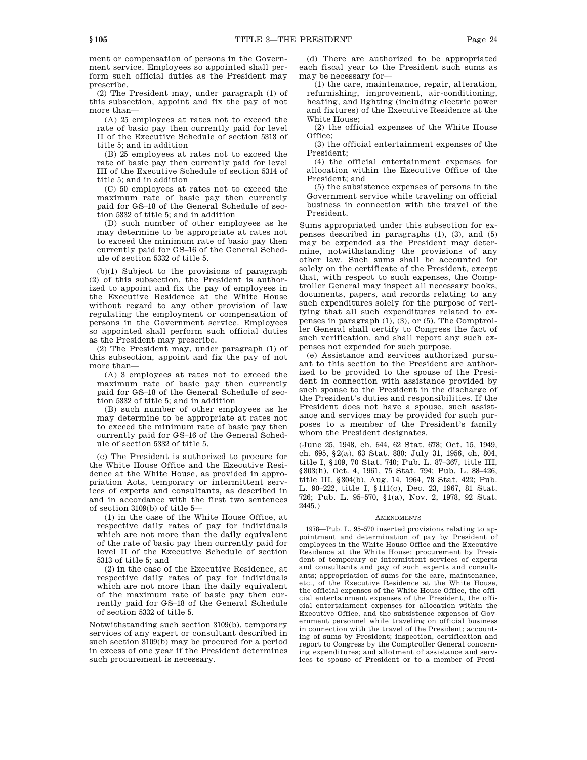ment or compensation of persons in the Government service. Employees so appointed shall perform such official duties as the President may prescribe.

(2) The President may, under paragraph (1) of this subsection, appoint and fix the pay of not more than—

(A) 25 employees at rates not to exceed the rate of basic pay then currently paid for level II of the Executive Schedule of section 5313 of title 5; and in addition

(B) 25 employees at rates not to exceed the rate of basic pay then currently paid for level III of the Executive Schedule of section 5314 of title 5; and in addition

(C) 50 employees at rates not to exceed the maximum rate of basic pay then currently paid for GS–18 of the General Schedule of section 5332 of title 5; and in addition

(D) such number of other employees as he may determine to be appropriate at rates not to exceed the minimum rate of basic pay then currently paid for GS–16 of the General Schedule of section 5332 of title 5.

(b)(1) Subject to the provisions of paragraph (2) of this subsection, the President is authorized to appoint and fix the pay of employees in the Executive Residence at the White House without regard to any other provision of law regulating the employment or compensation of persons in the Government service. Employees so appointed shall perform such official duties as the President may prescribe.

(2) The President may, under paragraph (1) of this subsection, appoint and fix the pay of not more than—

(A) 3 employees at rates not to exceed the maximum rate of basic pay then currently paid for GS–18 of the General Schedule of section 5332 of title 5; and in addition

(B) such number of other employees as he may determine to be appropriate at rates not to exceed the minimum rate of basic pay then currently paid for GS–16 of the General Schedule of section 5332 of title 5.

(c) The President is authorized to procure for the White House Office and the Executive Residence at the White House, as provided in appropriation Acts, temporary or intermittent services of experts and consultants, as described in and in accordance with the first two sentences of section 3109(b) of title 5—

(1) in the case of the White House Office, at respective daily rates of pay for individuals which are not more than the daily equivalent of the rate of basic pay then currently paid for level II of the Executive Schedule of section 5313 of title 5; and

(2) in the case of the Executive Residence, at respective daily rates of pay for individuals which are not more than the daily equivalent of the maximum rate of basic pay then currently paid for GS–18 of the General Schedule of section 5332 of title 5.

Notwithstanding such section 3109(b), temporary services of any expert or consultant described in such section 3109(b) may be procured for a period in excess of one year if the President determines such procurement is necessary.

(d) There are authorized to be appropriated each fiscal year to the President such sums as may be necessary for—

(1) the care, maintenance, repair, alteration, refurnishing, improvement, air-conditioning, heating, and lighting (including electric power and fixtures) of the Executive Residence at the White House;

(2) the official expenses of the White House Office;

(3) the official entertainment expenses of the President;

(4) the official entertainment expenses for allocation within the Executive Office of the President; and

(5) the subsistence expenses of persons in the Government service while traveling on official business in connection with the travel of the President.

Sums appropriated under this subsection for expenses described in paragraphs (1), (3), and (5) may be expended as the President may determine, notwithstanding the provisions of any other law. Such sums shall be accounted for solely on the certificate of the President, except that, with respect to such expenses, the Comptroller General may inspect all necessary books, documents, papers, and records relating to any such expenditures solely for the purpose of verifying that all such expenditures related to expenses in paragraph (1), (3), or (5). The Comptroller General shall certify to Congress the fact of such verification, and shall report any such expenses not expended for such purpose.

(e) Assistance and services authorized pursuant to this section to the President are authorized to be provided to the spouse of the President in connection with assistance provided by such spouse to the President in the discharge of the President's duties and responsibilities. If the President does not have a spouse, such assistance and services may be provided for such purposes to a member of the President's family whom the President designates.

(June 25, 1948, ch. 644, 62 Stat. 678; Oct. 15, 1949, ch. 695, §2(a), 63 Stat. 880; July 31, 1956, ch. 804, title I, §109, 70 Stat. 740; Pub. L. 87–367, title III, §303(h), Oct. 4, 1961, 75 Stat. 794; Pub. L. 88–426, title III, §304(b), Aug. 14, 1964, 78 Stat. 422; Pub. L. 90–222, title I, §111(c), Dec. 23, 1967, 81 Stat. 726; Pub. L. 95–570, §1(a), Nov. 2, 1978, 92 Stat. 2445.)

#### AMENDMENTS

1978—Pub. L. 95–570 inserted provisions relating to appointment and determination of pay by President of employees in the White House Office and the Executive Residence at the White House; procurement by President of temporary or intermittent services of experts and consultants and pay of such experts and consultants; appropriation of sums for the care, maintenance, etc., of the Executive Residence at the White House, the official expenses of the White House Office, the official entertainment expenses of the President, the official entertainment expenses for allocation within the Executive Office, and the subsistence expenses of Government personnel while traveling on official business in connection with the travel of the President; accounting of sums by President; inspection, certification and report to Congress by the Comptroller General concerning expenditures; and allotment of assistance and services to spouse of President or to a member of Presi-